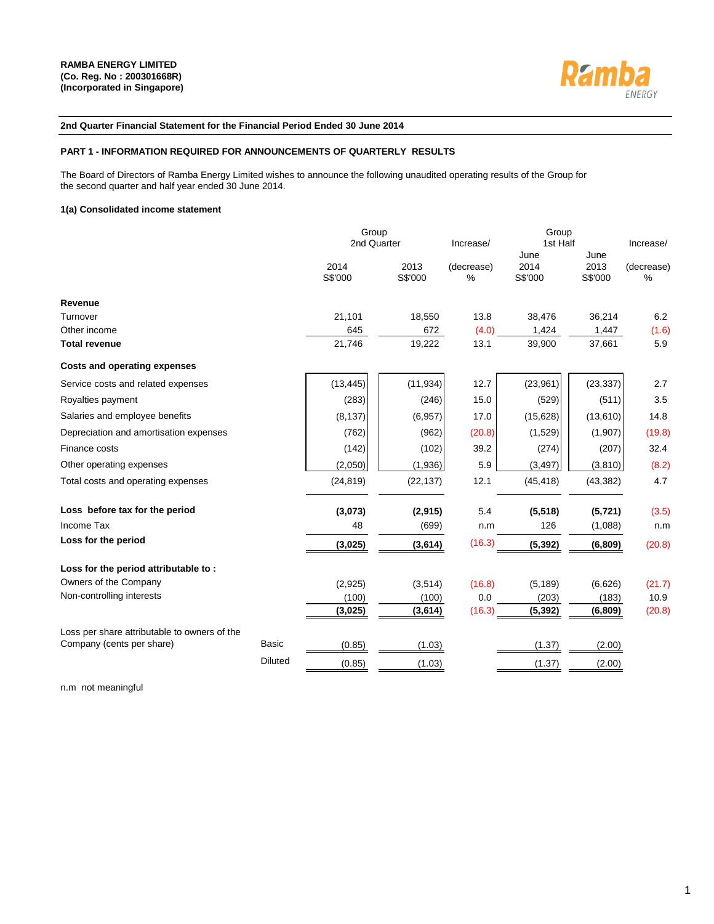

#### **2nd Quarter Financial Statement for the Financial Period Ended 30 June 2014**

#### **PART 1 - INFORMATION REQUIRED FOR ANNOUNCEMENTS OF QUARTERLY RESULTS**

The Board of Directors of Ramba Energy Limited wishes to announce the following unaudited operating results of the Group for the second quarter and half year ended 30 June 2014.

#### **1(a) Consolidated income statement**

|                                              |                | Group<br>2nd Quarter |                 | Increase/       | Group<br>1st Half       |                         | Increase/       |  |
|----------------------------------------------|----------------|----------------------|-----------------|-----------------|-------------------------|-------------------------|-----------------|--|
|                                              |                | 2014<br>S\$'000      | 2013<br>S\$'000 | (decrease)<br>% | June<br>2014<br>S\$'000 | June<br>2013<br>S\$'000 | (decrease)<br>% |  |
| Revenue                                      |                |                      |                 |                 |                         |                         |                 |  |
| Turnover                                     |                | 21,101               | 18,550          | 13.8            | 38,476                  | 36,214                  | 6.2             |  |
| Other income                                 |                | 645                  | 672             | (4.0)           | 1,424                   | 1,447                   | (1.6)           |  |
| <b>Total revenue</b>                         |                | 21,746               | 19,222          | 13.1            | 39,900                  | 37,661                  | 5.9             |  |
| <b>Costs and operating expenses</b>          |                |                      |                 |                 |                         |                         |                 |  |
| Service costs and related expenses           |                | (13, 445)            | (11, 934)       | 12.7            | (23,961)                | (23, 337)               | 2.7             |  |
| Royalties payment                            |                | (283)                | (246)           | 15.0            | (529)                   | (511)                   | 3.5             |  |
| Salaries and employee benefits               |                | (8, 137)             | (6, 957)        | 17.0            | (15, 628)               | (13,610)                | 14.8            |  |
| Depreciation and amortisation expenses       |                | (762)                | (962)           | (20.8)          | (1,529)                 | (1,907)                 | (19.8)          |  |
| Finance costs                                |                | (142)                | (102)           | 39.2            | (274)                   | (207)                   | 32.4            |  |
| Other operating expenses                     |                | (2,050)              | (1,936)         | 5.9             | (3, 497)                | (3,810)                 | (8.2)           |  |
| Total costs and operating expenses           |                | (24, 819)            | (22, 137)       | 12.1            | (45, 418)               | (43, 382)               | 4.7             |  |
| Loss before tax for the period               |                | (3,073)              | (2, 915)        | 5.4             | (5, 518)                | (5, 721)                | (3.5)           |  |
| Income Tax                                   |                | 48                   | (699)           | n.m             | 126                     | (1,088)                 | n.m             |  |
| Loss for the period                          |                | (3,025)              | (3,614)         | (16.3)          | (5, 392)                | (6,809)                 | (20.8)          |  |
| Loss for the period attributable to:         |                |                      |                 |                 |                         |                         |                 |  |
| Owners of the Company                        |                | (2,925)              | (3,514)         | (16.8)          | (5, 189)                | (6,626)                 | (21.7)          |  |
| Non-controlling interests                    |                | (100)                | (100)           | 0.0             | (203)                   | (183)                   | 10.9            |  |
|                                              |                | (3,025)              | (3,614)         | (16.3)          | (5, 392)                | (6, 809)                | (20.8)          |  |
| Loss per share attributable to owners of the |                |                      |                 |                 |                         |                         |                 |  |
| Company (cents per share)                    | Basic          | (0.85)               | (1.03)          |                 | (1.37)                  | (2.00)                  |                 |  |
|                                              | <b>Diluted</b> | (0.85)               | (1.03)          |                 | (1.37)                  | (2.00)                  |                 |  |

n.m not meaningful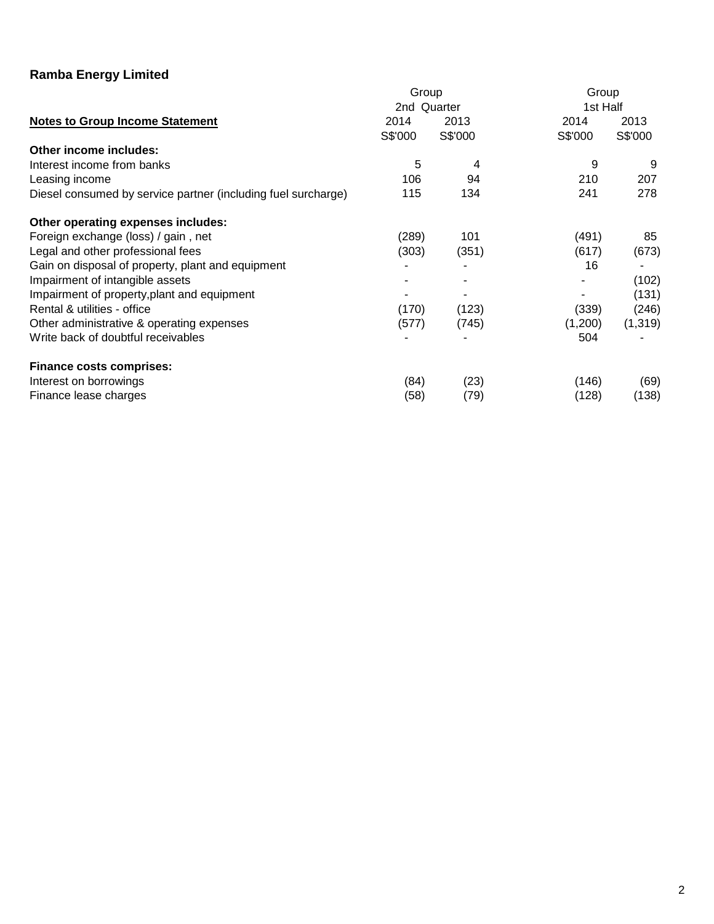|                                                               | Group       |         | Group    |          |  |
|---------------------------------------------------------------|-------------|---------|----------|----------|--|
|                                                               | 2nd Quarter |         | 1st Half |          |  |
| <b>Notes to Group Income Statement</b>                        | 2014        | 2013    | 2014     | 2013     |  |
|                                                               | S\$'000     | S\$'000 | S\$'000  | S\$'000  |  |
| Other income includes:                                        |             |         |          |          |  |
| Interest income from banks                                    | 5           | 4       | 9        | 9        |  |
| Leasing income                                                | 106         | 94      | 210      | 207      |  |
| Diesel consumed by service partner (including fuel surcharge) | 115         | 134     | 241      | 278      |  |
| Other operating expenses includes:                            |             |         |          |          |  |
| Foreign exchange (loss) / gain, net                           | (289)       | 101     | (491)    | 85       |  |
| Legal and other professional fees                             | (303)       | (351)   | (617)    | (673)    |  |
| Gain on disposal of property, plant and equipment             |             |         | 16       |          |  |
| Impairment of intangible assets                               |             |         |          | (102)    |  |
| Impairment of property, plant and equipment                   |             |         |          | (131)    |  |
| Rental & utilities - office                                   | (170)       | (123)   | (339)    | (246)    |  |
| Other administrative & operating expenses                     | (577)       | (745)   | (1,200)  | (1, 319) |  |
| Write back of doubtful receivables                            |             |         | 504      |          |  |
| <b>Finance costs comprises:</b>                               |             |         |          |          |  |
| Interest on borrowings                                        | (84)        | (23)    | (146)    | (69)     |  |
| Finance lease charges                                         | (58)        | (79)    | (128)    | (138)    |  |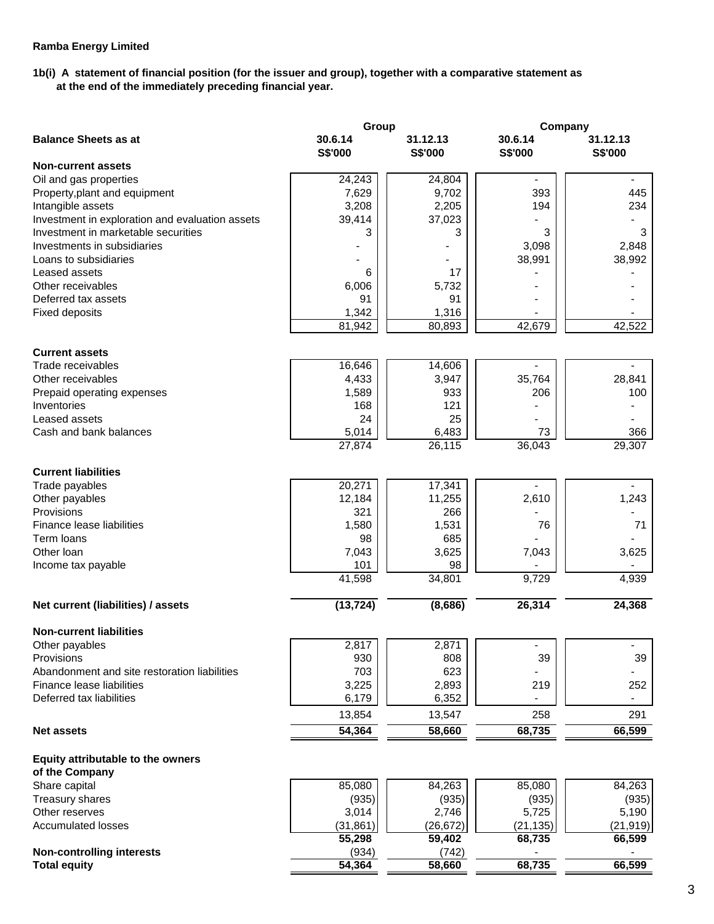## **1b(i) A statement of financial position (for the issuer and group), together with a comparative statement as at the end of the immediately preceding financial year.**

|                                                 | Group              |                     | Company                   |                            |
|-------------------------------------------------|--------------------|---------------------|---------------------------|----------------------------|
| <b>Balance Sheets as at</b>                     | 30.6.14<br>S\$'000 | 31.12.13<br>S\$'000 | 30.6.14<br><b>S\$'000</b> | 31.12.13<br><b>S\$'000</b> |
| <b>Non-current assets</b>                       |                    |                     |                           |                            |
| Oil and gas properties                          | 24,243             | 24,804              | $\blacksquare$            | $\blacksquare$             |
| Property, plant and equipment                   | 7,629              | 9,702               | 393                       | 445                        |
| Intangible assets                               | 3,208              | 2,205               | 194                       | 234                        |
| Investment in exploration and evaluation assets | 39,414             | 37,023              |                           |                            |
| Investment in marketable securities             | 3                  | 3                   | 3                         | 3                          |
| Investments in subsidiaries                     |                    |                     | 3,098                     | 2,848                      |
| Loans to subsidiaries                           |                    |                     | 38,991                    | 38,992                     |
| Leased assets                                   | 6                  | 17                  |                           |                            |
| Other receivables                               | 6,006              | 5,732               |                           |                            |
| Deferred tax assets                             | 91                 | 91                  |                           |                            |
| <b>Fixed deposits</b>                           | 1,342              | 1,316               |                           |                            |
|                                                 | 81,942             | 80,893              | 42,679                    | 42,522                     |
| <b>Current assets</b>                           |                    |                     |                           |                            |
| Trade receivables                               | 16,646             | 14,606              |                           |                            |
| Other receivables                               | 4,433              | 3,947               | 35,764                    | 28,841                     |
| Prepaid operating expenses                      | 1,589              | 933                 | 206                       | 100                        |
| Inventories                                     | 168                | 121                 |                           |                            |
| Leased assets                                   | 24                 | 25                  |                           |                            |
| Cash and bank balances                          | 5,014              | 6,483               | 73                        | 366                        |
|                                                 | 27,874             | 26,115              | 36,043                    | 29,307                     |
| <b>Current liabilities</b>                      |                    |                     |                           |                            |
| Trade payables                                  | 20,271             | 17,341              |                           |                            |
| Other payables                                  | 12,184             | 11,255              | 2,610                     | 1,243                      |
| Provisions                                      | 321                | 266                 |                           |                            |
| Finance lease liabilities                       | 1,580              | 1,531               | 76                        | 71                         |
| Term loans                                      | 98                 | 685                 |                           |                            |
| Other Ioan                                      | 7,043              | 3,625               | 7,043                     | 3,625                      |
| Income tax payable                              | 101                | 98                  |                           |                            |
|                                                 | 41,598             | 34,801              | 9,729                     | 4,939                      |
| Net current (liabilities) / assets              | (13, 724)          | (8,686)             | 26,314                    | 24,368                     |
| <b>Non-current liabilities</b>                  |                    |                     |                           |                            |
| Other payables                                  | 2,817              | 2,871               |                           |                            |
| Provisions                                      | 930                | 808                 | 39                        | 39                         |
| Abandonment and site restoration liabilities    | 703                | 623                 |                           |                            |
| Finance lease liabilities                       | 3,225              | 2,893               | 219                       | 252                        |
| Deferred tax liabilities                        | 6,179              | 6,352               |                           |                            |
|                                                 | 13,854             | 13,547              | 258                       | 291                        |
| <b>Net assets</b>                               | 54,364             | 58,660              | 68,735                    | 66,599                     |
| Equity attributable to the owners               |                    |                     |                           |                            |
| of the Company                                  |                    |                     |                           |                            |
| Share capital                                   | 85,080             | 84,263              | 85,080                    | 84,263                     |
| Treasury shares                                 | (935)              | (935)               | (935)                     | (935)                      |
| Other reserves                                  | 3,014              | 2,746               | 5,725                     | 5,190                      |
| <b>Accumulated losses</b>                       | (31, 861)          | (26, 672)           | (21, 135)                 | (21, 919)                  |
|                                                 | 55,298             | 59,402              | 68,735                    | 66,599                     |
| <b>Non-controlling interests</b>                | (934)              | (742)               |                           |                            |
| <b>Total equity</b>                             | 54,364             | 58,660              | 68,735                    | 66,599                     |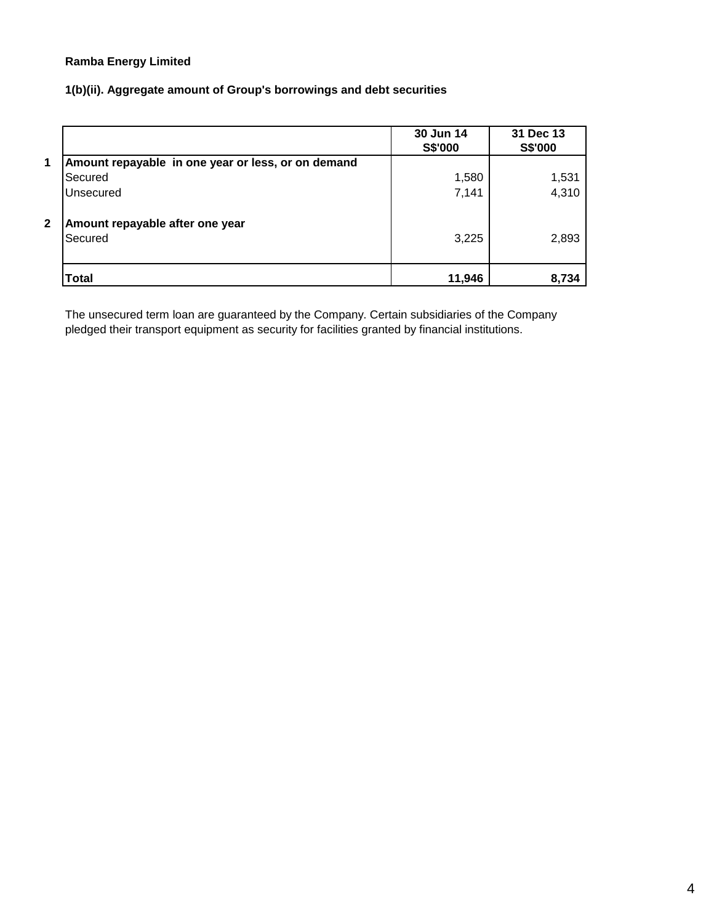**1(b)(ii). Aggregate amount of Group's borrowings and debt securities** 

|              |                                                    | 30 Jun 14<br>S\$'000 | 31 Dec 13<br>S\$'000 |
|--------------|----------------------------------------------------|----------------------|----------------------|
| 1            | Amount repayable in one year or less, or on demand |                      |                      |
|              | Secured                                            | 1,580                | 1,531                |
|              | Unsecured                                          | 7,141                | 4,310                |
| $\mathbf{2}$ | Amount repayable after one year<br>Secured         | 3,225                | 2,893                |
|              | Total                                              | 11,946               | 8,734                |

The unsecured term loan are guaranteed by the Company. Certain subsidiaries of the Company pledged their transport equipment as security for facilities granted by financial institutions.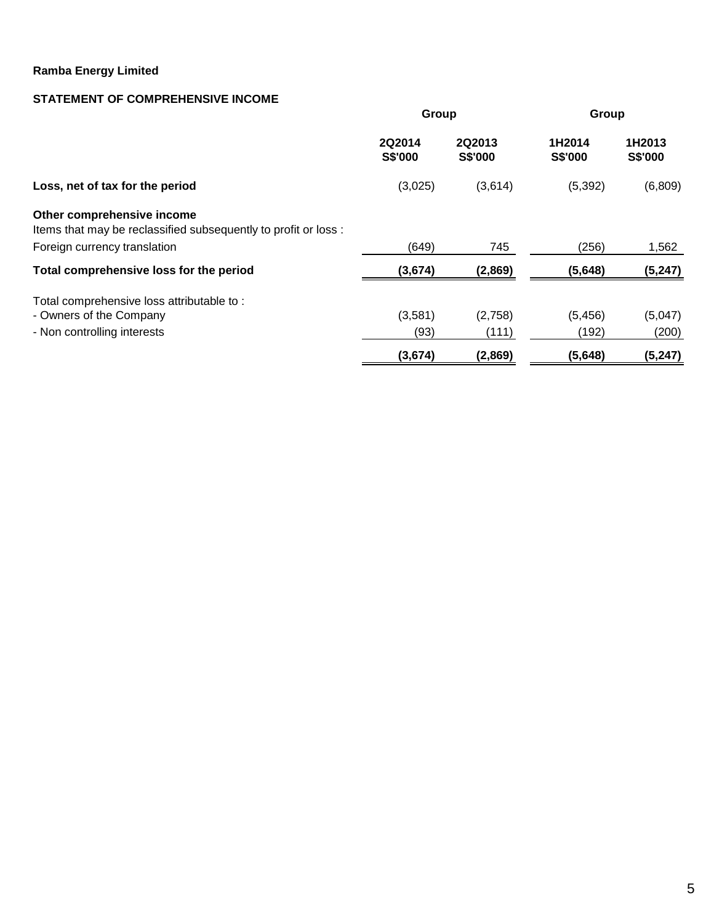## **STATEMENT OF COMPREHENSIVE INCOME**

|                                                                                                                               | Group             |                   | Group             |                   |
|-------------------------------------------------------------------------------------------------------------------------------|-------------------|-------------------|-------------------|-------------------|
|                                                                                                                               | 2Q2014<br>S\$'000 | 2Q2013<br>S\$'000 | 1H2014<br>S\$'000 | 1H2013<br>S\$'000 |
| Loss, net of tax for the period                                                                                               | (3,025)           | (3,614)           | (5, 392)          | (6,809)           |
| Other comprehensive income<br>Items that may be reclassified subsequently to profit or loss :<br>Foreign currency translation | (649)             | 745               | (256)             | 1,562             |
| Total comprehensive loss for the period                                                                                       | (3,674)           | (2,869)           | (5,648)           | (5, 247)          |
| Total comprehensive loss attributable to:<br>- Owners of the Company<br>- Non controlling interests                           | (3,581)<br>(93)   | (2,758)<br>(111)  | (5, 456)<br>(192) | (5,047)<br>(200)  |
|                                                                                                                               | (3,674)           | (2,869)           | (5,648)           | (5, 247)          |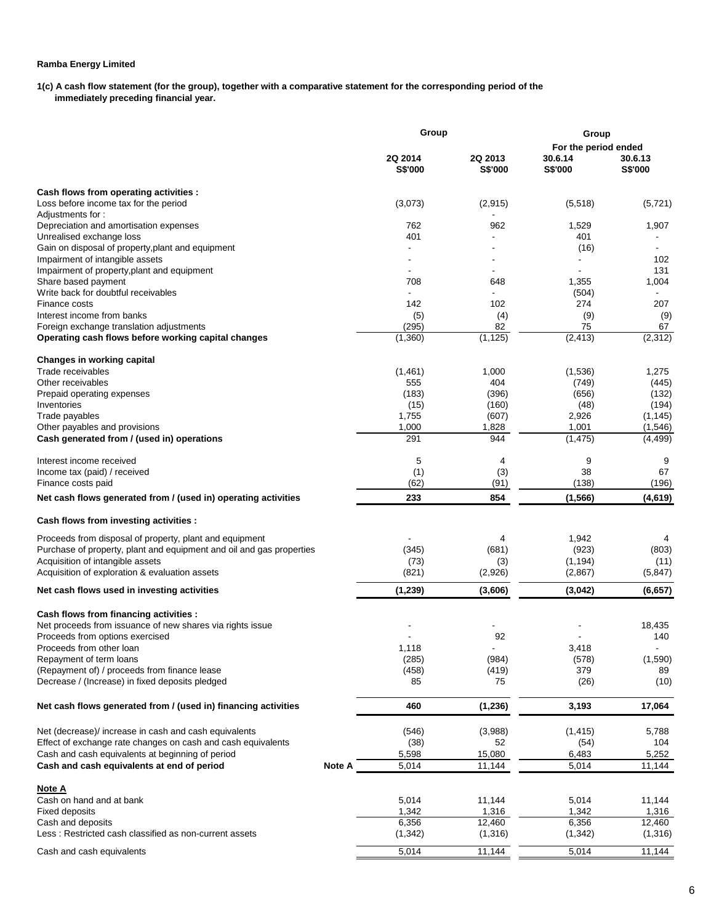**1(c) A cash flow statement (for the group), together with a comparative statement for the corresponding period of the immediately preceding financial year.** 

|                                                                      |        | Group                     |                           | Group                     |                    |  |
|----------------------------------------------------------------------|--------|---------------------------|---------------------------|---------------------------|--------------------|--|
|                                                                      |        |                           |                           | For the period ended      |                    |  |
|                                                                      |        | 2Q 2014<br><b>S\$'000</b> | 2Q 2013<br><b>S\$'000</b> | 30.6.14<br><b>S\$'000</b> | 30.6.13<br>S\$'000 |  |
| Cash flows from operating activities :                               |        |                           |                           |                           |                    |  |
| Loss before income tax for the period                                |        | (3,073)                   | (2,915)                   | (5,518)                   | (5, 721)           |  |
| Adjustments for:                                                     |        |                           |                           |                           |                    |  |
| Depreciation and amortisation expenses                               |        | 762                       | 962                       | 1,529                     | 1,907              |  |
| Unrealised exchange loss                                             |        | 401                       |                           | 401                       |                    |  |
| Gain on disposal of property, plant and equipment                    |        |                           |                           | (16)                      |                    |  |
| Impairment of intangible assets                                      |        |                           |                           |                           | 102                |  |
| Impairment of property, plant and equipment                          |        |                           |                           |                           | 131                |  |
| Share based payment<br>Write back for doubtful receivables           |        | 708                       | 648                       | 1,355                     | 1,004              |  |
| Finance costs                                                        |        | 142                       | 102                       | (504)<br>274              | 207                |  |
| Interest income from banks                                           |        | (5)                       | (4)                       | (9)                       | (9)                |  |
| Foreign exchange translation adjustments                             |        | (295)                     | 82                        | 75                        | 67                 |  |
| Operating cash flows before working capital changes                  |        | (1,360)                   | (1, 125)                  | (2, 413)                  | (2, 312)           |  |
| Changes in working capital                                           |        |                           |                           |                           |                    |  |
| Trade receivables                                                    |        | (1,461)                   | 1,000                     | (1,536)                   | 1,275              |  |
| Other receivables                                                    |        | 555                       | 404                       | (749)                     | (445)              |  |
| Prepaid operating expenses                                           |        | (183)                     | (396)                     | (656)                     | (132)              |  |
| Inventories                                                          |        | (15)                      | (160)                     | (48)                      | (194)              |  |
| Trade payables                                                       |        | 1,755                     | (607)                     | 2,926                     | (1, 145)           |  |
| Other payables and provisions                                        |        | 1,000                     | 1,828                     | 1,001                     | (1, 546)           |  |
| Cash generated from / (used in) operations                           |        | 291                       | 944                       | (1, 475)                  | (4, 499)           |  |
| Interest income received                                             |        | 5                         | 4                         | 9                         | 9                  |  |
| Income tax (paid) / received                                         |        | (1)                       | (3)                       | 38                        | 67                 |  |
| Finance costs paid                                                   |        | (62)                      | (91)                      | (138)                     | (196)              |  |
| Net cash flows generated from / (used in) operating activities       |        | 233                       | 854                       | (1, 566)                  | (4,619)            |  |
| Cash flows from investing activities :                               |        |                           |                           |                           |                    |  |
| Proceeds from disposal of property, plant and equipment              |        |                           | 4                         | 1,942                     | 4                  |  |
| Purchase of property, plant and equipment and oil and gas properties |        | (345)                     | (681)                     | (923)                     | (803)              |  |
| Acquisition of intangible assets                                     |        | (73)                      | (3)                       | (1, 194)                  | (11)               |  |
| Acquisition of exploration & evaluation assets                       |        | (821)                     | (2,926)                   | (2,867)                   | (5, 847)           |  |
| Net cash flows used in investing activities                          |        | (1,239)                   | (3,606)                   | (3,042)                   | (6, 657)           |  |
| Cash flows from financing activities :                               |        |                           |                           |                           |                    |  |
| Net proceeds from issuance of new shares via rights issue            |        |                           |                           |                           | 18,435             |  |
| Proceeds from options exercised                                      |        |                           | 92                        |                           | 140                |  |
| Proceeds from other loan                                             |        | 1,118                     |                           | 3,418                     |                    |  |
| Repayment of term loans                                              |        | (285)                     | (984)                     | (578)                     | (1,590)            |  |
| (Repayment of) / proceeds from finance lease                         |        | (458)                     | (419)                     | 379                       | 89                 |  |
| Decrease / (Increase) in fixed deposits pledged                      |        | 85                        | 75                        | (26)                      | (10)               |  |
| Net cash flows generated from / (used in) financing activities       |        | 460                       | (1, 236)                  | 3,193                     | 17,064             |  |
| Net (decrease)/ increase in cash and cash equivalents                |        | (546)                     | (3,988)                   | (1, 415)                  | 5,788              |  |
| Effect of exchange rate changes on cash and cash equivalents         |        | (38)                      | 52                        | (54)                      | 104                |  |
| Cash and cash equivalents at beginning of period                     |        | 5,598                     | 15,080                    | 6,483                     | 5,252              |  |
| Cash and cash equivalents at end of period                           | Note A | 5,014                     | 11,144                    | 5,014                     | 11,144             |  |
| <u>Note A</u>                                                        |        |                           |                           |                           |                    |  |
| Cash on hand and at bank                                             |        | 5,014                     | 11,144                    | 5,014                     | 11,144             |  |
| <b>Fixed deposits</b>                                                |        | 1,342                     | 1,316                     | 1,342                     | 1,316              |  |
| Cash and deposits                                                    |        | 6,356                     | 12,460                    | 6,356                     | 12,460             |  |
| Less: Restricted cash classified as non-current assets               |        | (1, 342)                  | (1,316)                   | (1, 342)                  | (1,316)            |  |
|                                                                      |        |                           |                           |                           |                    |  |
| Cash and cash equivalents                                            |        | 5,014                     | 11,144                    | 5,014                     | 11,144             |  |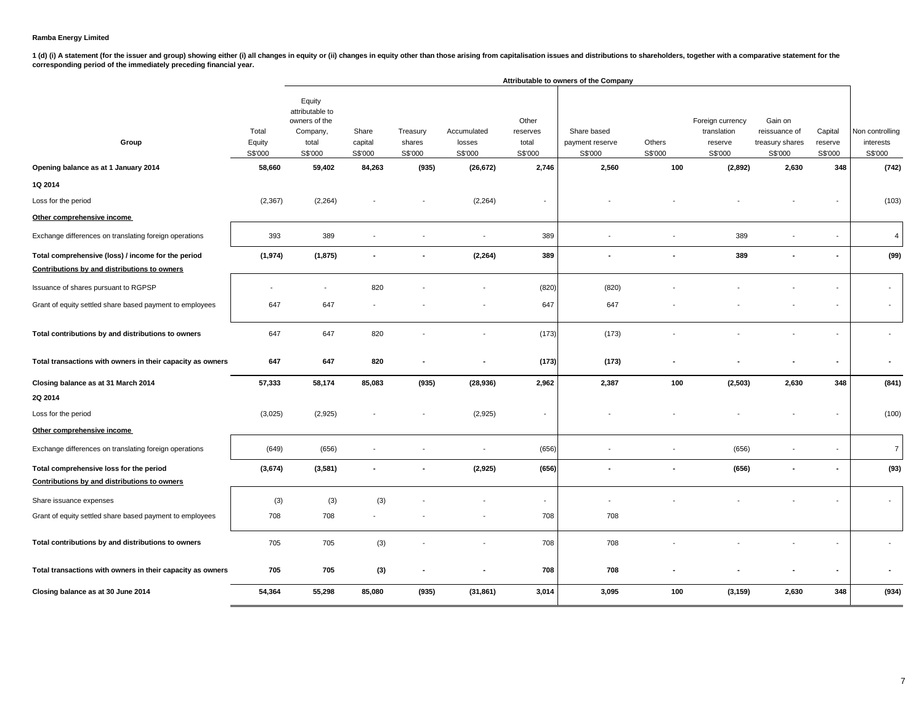1 (d) (i) A statement (for the issuer and group) showing either (i) all changes in equity or (ii) changes in equity other than those arising from capitalisation issues and distributions to shareholders, together with a com

|                                                                                                    |                            |                                                                            |                             |                               |                                  |                                       | Attributable to owners of the Company     |                   |                                                       |                                                        |                               |                                         |
|----------------------------------------------------------------------------------------------------|----------------------------|----------------------------------------------------------------------------|-----------------------------|-------------------------------|----------------------------------|---------------------------------------|-------------------------------------------|-------------------|-------------------------------------------------------|--------------------------------------------------------|-------------------------------|-----------------------------------------|
| Group                                                                                              | Total<br>Equity<br>S\$'000 | Equity<br>attributable to<br>owners of the<br>Company,<br>total<br>S\$'000 | Share<br>capital<br>S\$'000 | Treasury<br>shares<br>S\$'000 | Accumulated<br>losses<br>S\$'000 | Other<br>reserves<br>total<br>S\$'000 | Share based<br>payment reserve<br>S\$'000 | Others<br>S\$'000 | Foreign currency<br>translation<br>reserve<br>S\$'000 | Gain on<br>reissuance of<br>treasury shares<br>S\$'000 | Capital<br>reserve<br>S\$'000 | Non controlling<br>interests<br>S\$'000 |
| Opening balance as at 1 January 2014                                                               | 58,660                     | 59,402                                                                     | 84,263                      | (935)                         | (26, 672)                        | 2,746                                 | 2,560                                     | 100               | (2,892)                                               | 2,630                                                  | 348                           | (742)                                   |
| 1Q 2014                                                                                            |                            |                                                                            |                             |                               |                                  |                                       |                                           |                   |                                                       |                                                        |                               |                                         |
| Loss for the period                                                                                | (2, 367)                   | (2, 264)                                                                   |                             |                               | (2, 264)                         |                                       |                                           |                   |                                                       |                                                        |                               | (103)                                   |
| Other comprehensive income                                                                         |                            |                                                                            |                             |                               |                                  |                                       |                                           |                   |                                                       |                                                        |                               |                                         |
| Exchange differences on translating foreign operations                                             | 393                        | 389                                                                        |                             |                               | $\overline{\phantom{a}}$         | 389                                   |                                           |                   | 389                                                   |                                                        |                               | $\overline{4}$                          |
| Total comprehensive (loss) / income for the period<br>Contributions by and distributions to owners | (1, 974)                   | (1, 875)                                                                   | $\blacksquare$              |                               | (2, 264)                         | 389                                   |                                           |                   | 389                                                   |                                                        |                               | (99)                                    |
| Issuance of shares pursuant to RGPSP                                                               |                            |                                                                            | 820                         |                               |                                  | (820)                                 | (820)                                     |                   |                                                       |                                                        |                               | $\sim$                                  |
| Grant of equity settled share based payment to employees                                           | 647                        | 647                                                                        |                             |                               |                                  | 647                                   | 647                                       |                   |                                                       |                                                        |                               | $\overline{\phantom{a}}$                |
| Total contributions by and distributions to owners                                                 | 647                        | 647                                                                        | 820                         |                               |                                  | (173)                                 | (173)                                     |                   |                                                       |                                                        |                               |                                         |
| Total transactions with owners in their capacity as owners                                         | 647                        | 647                                                                        | 820                         |                               |                                  | (173)                                 | (173)                                     |                   |                                                       |                                                        |                               |                                         |
| Closing balance as at 31 March 2014                                                                | 57,333                     | 58,174                                                                     | 85,083                      | (935)                         | (28, 936)                        | 2,962                                 | 2,387                                     | 100               | (2, 503)                                              | 2,630                                                  | 348                           | (841)                                   |
| 2Q 2014                                                                                            |                            |                                                                            |                             |                               |                                  |                                       |                                           |                   |                                                       |                                                        |                               |                                         |
| Loss for the period                                                                                | (3,025)                    | (2,925)                                                                    |                             |                               | (2,925)                          | $\overline{\phantom{a}}$              |                                           |                   |                                                       |                                                        |                               | (100)                                   |
| Other comprehensive income                                                                         |                            |                                                                            |                             |                               |                                  |                                       |                                           |                   |                                                       |                                                        |                               |                                         |
| Exchange differences on translating foreign operations                                             | (649)                      | (656)                                                                      |                             |                               |                                  | (656)                                 |                                           |                   | (656)                                                 |                                                        |                               | $\overline{7}$                          |
| Total comprehensive loss for the period                                                            | (3,674)                    | (3, 581)                                                                   |                             |                               | (2, 925)                         | (656)                                 |                                           |                   | (656)                                                 |                                                        |                               | (93)                                    |
| Contributions by and distributions to owners                                                       |                            |                                                                            |                             |                               |                                  |                                       |                                           |                   |                                                       |                                                        |                               |                                         |
| Share issuance expenses                                                                            | (3)                        | (3)                                                                        | (3)                         |                               |                                  | $\overline{\phantom{a}}$              |                                           |                   |                                                       |                                                        |                               |                                         |
| Grant of equity settled share based payment to employees                                           | 708                        | 708                                                                        |                             |                               |                                  | 708                                   | 708                                       |                   |                                                       |                                                        |                               |                                         |
| Total contributions by and distributions to owners                                                 | 705                        | 705                                                                        | (3)                         |                               |                                  | 708                                   | 708                                       |                   |                                                       |                                                        |                               |                                         |
| Total transactions with owners in their capacity as owners                                         | 705                        | 705                                                                        | (3)                         |                               |                                  | 708                                   | 708                                       |                   |                                                       |                                                        |                               |                                         |
| Closing balance as at 30 June 2014                                                                 | 54,364                     | 55,298                                                                     | 85,080                      | (935)                         | (31, 861)                        | 3,014                                 | 3,095                                     | 100               | (3, 159)                                              | 2,630                                                  | 348                           | (934)                                   |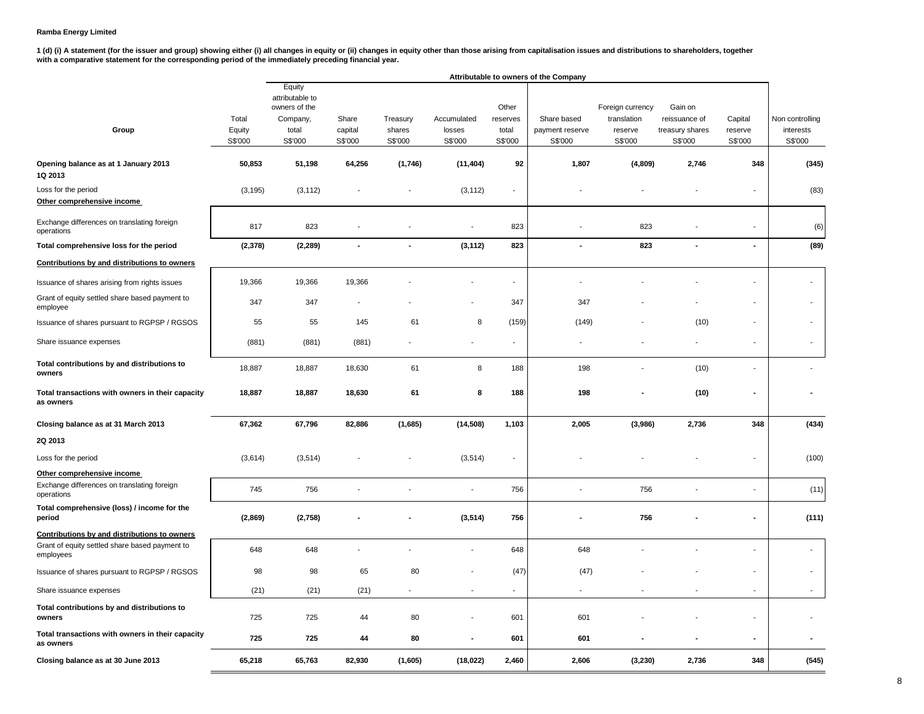**1 (d) (i) A statement (for the issuer and group) showing either (i) all changes in equity or (ii) changes in equity other than those arising from capitalisation issues and distributions to shareholders, together with a comparative statement for the corresponding period of the immediately preceding financial year.**

|                                                               |          |                                            |                |          |                          |                          | Attributable to owners of the Company |                  |                 |                          |                          |
|---------------------------------------------------------------|----------|--------------------------------------------|----------------|----------|--------------------------|--------------------------|---------------------------------------|------------------|-----------------|--------------------------|--------------------------|
|                                                               |          | Equity<br>attributable to<br>owners of the |                |          |                          | Other                    |                                       | Foreign currency | Gain on         |                          |                          |
|                                                               | Total    | Company,                                   | Share          | Treasury | Accumulated              | reserves                 | Share based                           | translation      | reissuance of   | Capital                  | Non controlling          |
| Group                                                         | Equity   | total                                      | capital        | shares   | losses                   | total                    | payment reserve                       | reserve          | treasury shares | reserve                  | interests                |
|                                                               | S\$'000  | S\$'000                                    | S\$'000        | S\$'000  | S\$'000                  | S\$'000                  | S\$'000                               | S\$'000          | S\$'000         | S\$'000                  | S\$'000                  |
| Opening balance as at 1 January 2013<br>1Q 2013               | 50,853   | 51,198                                     | 64,256         | (1,746)  | (11, 404)                | 92                       | 1,807                                 | (4,809)          | 2,746           | 348                      | (345)                    |
| Loss for the period<br>Other comprehensive income             | (3, 195) | (3, 112)                                   |                |          | (3, 112)                 | $\overline{a}$           |                                       |                  |                 |                          | (83)                     |
| Exchange differences on translating foreign<br>operations     | 817      | 823                                        |                |          |                          | 823                      |                                       | 823              |                 |                          | (6)                      |
| Total comprehensive loss for the period                       | (2,378)  | (2, 289)                                   | $\blacksquare$ |          | (3, 112)                 | 823                      | ÷                                     | 823              | $\blacksquare$  | $\blacksquare$           | (89)                     |
| Contributions by and distributions to owners                  |          |                                            |                |          |                          |                          |                                       |                  |                 |                          |                          |
| Issuance of shares arising from rights issues                 | 19,366   | 19,366                                     | 19,366         |          |                          | ÷,                       |                                       |                  |                 |                          |                          |
| Grant of equity settled share based payment to<br>employee    | 347      | 347                                        |                |          |                          | 347                      | 347                                   |                  |                 |                          |                          |
| Issuance of shares pursuant to RGPSP / RGSOS                  | 55       | 55                                         | 145            | 61       | 8                        | (159)                    | (149)                                 |                  | (10)            | $\overline{a}$           | $\sim$                   |
| Share issuance expenses                                       | (881)    | (881)                                      | (881)          |          |                          | $\overline{\phantom{a}}$ |                                       |                  |                 | $\overline{a}$           | $\overline{\phantom{a}}$ |
| Total contributions by and distributions to<br>owners         | 18,887   | 18,887                                     | 18,630         | 61       | 8                        | 188                      | 198                                   |                  | (10)            |                          |                          |
| Total transactions with owners in their capacity<br>as owners | 18,887   | 18,887                                     | 18,630         | 61       | 8                        | 188                      | 198                                   |                  | (10)            | ä,                       |                          |
| Closing balance as at 31 March 2013                           | 67,362   | 67,796                                     | 82,886         | (1,685)  | (14, 508)                | 1,103                    | 2,005                                 | (3,986)          | 2,736           | 348                      | (434)                    |
| 2Q 2013                                                       |          |                                            |                |          |                          |                          |                                       |                  |                 |                          |                          |
| Loss for the period                                           | (3,614)  | (3, 514)                                   |                |          | (3, 514)                 |                          |                                       |                  |                 |                          | (100)                    |
| Other comprehensive income                                    |          |                                            |                |          |                          |                          |                                       |                  |                 |                          |                          |
| Exchange differences on translating foreign<br>operations     | 745      | 756                                        |                |          |                          | 756                      |                                       | 756              |                 |                          | (11)                     |
| Total comprehensive (loss) / income for the<br>period         | (2,869)  | (2,758)                                    |                |          | (3, 514)                 | 756                      |                                       | 756              |                 |                          | (111)                    |
| Contributions by and distributions to owners                  |          |                                            |                |          |                          |                          |                                       |                  |                 |                          |                          |
| Grant of equity settled share based payment to<br>employees   | 648      | 648                                        |                |          | $\overline{\phantom{a}}$ | 648                      | 648                                   |                  |                 |                          | $\blacksquare$           |
| Issuance of shares pursuant to RGPSP / RGSOS                  | 98       | 98                                         | 65             | 80       |                          | (47)                     | (47)                                  |                  |                 |                          | $\overline{\phantom{a}}$ |
| Share issuance expenses                                       | (21)     | (21)                                       | (21)           |          | $\overline{\phantom{a}}$ | ٠                        | ÷,                                    |                  |                 | $\overline{\phantom{a}}$ | $\sim$                   |
| Total contributions by and distributions to<br>owners         | 725      | 725                                        | 44             | 80       |                          | 601                      | 601                                   |                  |                 |                          |                          |
| Total transactions with owners in their capacity<br>as owners | 725      | 725                                        | 44             | 80       | $\blacksquare$           | 601                      | 601                                   |                  |                 | $\frac{1}{2}$            |                          |
| Closing balance as at 30 June 2013                            | 65,218   | 65,763                                     | 82,930         | (1,605)  | (18, 022)                | 2,460                    | 2,606                                 | (3, 230)         | 2,736           | 348                      | (545)                    |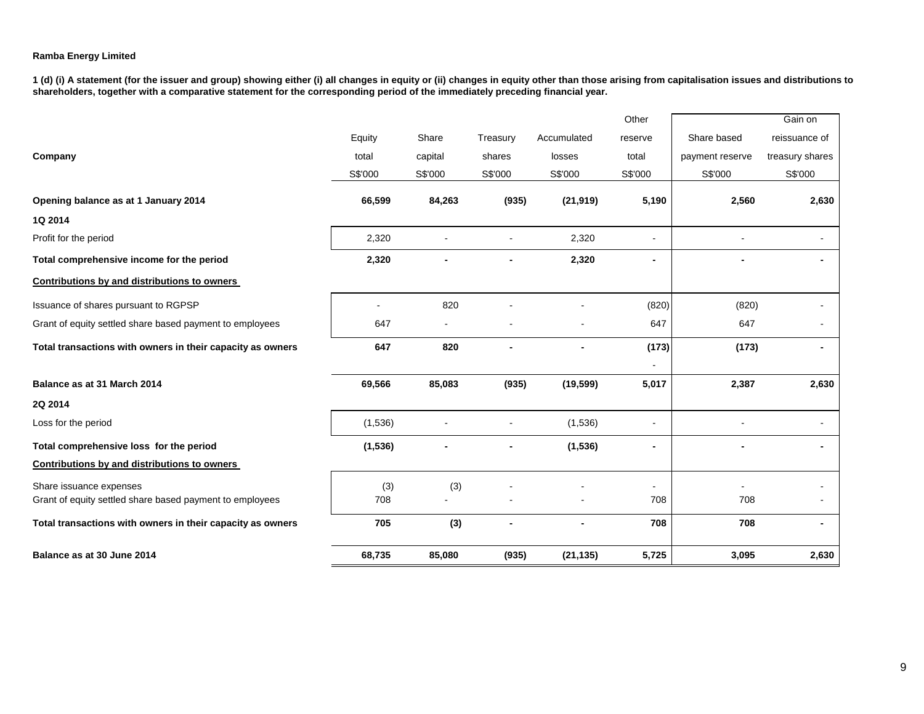**1 (d) (i) A statement (for the issuer and group) showing either (i) all changes in equity or (ii) changes in equity other than those arising from capitalisation issues and distributions to shareholders, together with a comparative statement for the corresponding period of the immediately preceding financial year.**

|          |                |                |                | Other          |                 | Gain on         |
|----------|----------------|----------------|----------------|----------------|-----------------|-----------------|
| Equity   | Share          | Treasury       | Accumulated    | reserve        | Share based     | reissuance of   |
| total    | capital        | shares         | losses         | total          | payment reserve | treasury shares |
| S\$'000  | S\$'000        | S\$'000        | S\$'000        | S\$'000        | S\$'000         | S\$'000         |
| 66,599   | 84,263         | (935)          | (21, 919)      | 5,190          | 2,560           | 2,630           |
|          |                |                |                |                |                 |                 |
| 2,320    |                |                | 2,320          |                |                 |                 |
| 2,320    |                |                | 2,320          |                |                 |                 |
|          |                |                |                |                |                 |                 |
|          | 820            |                |                | (820)          | (820)           |                 |
| 647      | $\blacksquare$ |                | $\blacksquare$ | 647            | 647             |                 |
| 647      | 820            | $\blacksquare$ | ۰              | (173)          | (173)           | ۰.              |
|          |                |                |                |                |                 |                 |
| 69,566   | 85,083         | (935)          | (19, 599)      | 5,017          | 2,387           | 2,630           |
|          |                |                |                |                |                 |                 |
| (1,536)  |                |                | (1,536)        |                |                 |                 |
| (1, 536) |                |                | (1, 536)       | $\blacksquare$ |                 |                 |
|          |                |                |                |                |                 |                 |
| (3)      | (3)            |                |                |                |                 |                 |
| 708      |                |                |                | 708            | 708             |                 |
| 705      | (3)            |                |                | 708            | 708             | ۰               |
| 68,735   | 85,080         | (935)          | (21, 135)      | 5,725          | 3,095           | 2,630           |
|          |                |                |                |                |                 |                 |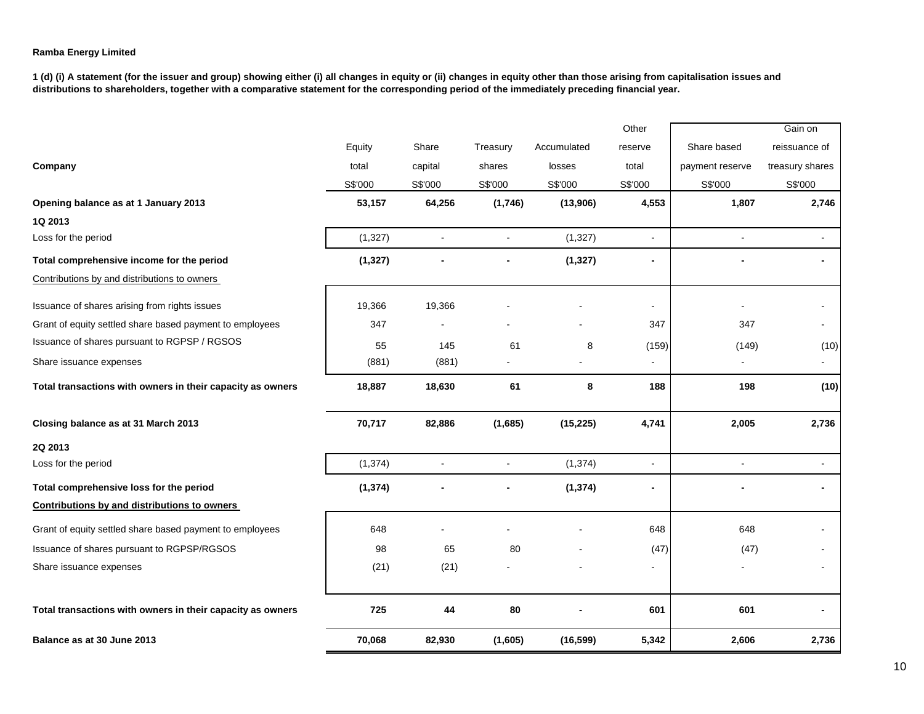**1 (d) (i) A statement (for the issuer and group) showing either (i) all changes in equity or (ii) changes in equity other than those arising from capitalisation issues and distributions to shareholders, together with a comparative statement for the corresponding period of the immediately preceding financial year.**

|                                                            |          |                      |              |             | Other          |                 | Gain on         |
|------------------------------------------------------------|----------|----------------------|--------------|-------------|----------------|-----------------|-----------------|
|                                                            | Equity   | Share                | Treasury     | Accumulated | reserve        | Share based     | reissuance of   |
| Company                                                    | total    | capital              | shares       | losses      | total          | payment reserve | treasury shares |
|                                                            | S\$'000  | S\$'000              | S\$'000      | S\$'000     | S\$'000        | S\$'000         | S\$'000         |
| Opening balance as at 1 January 2013                       | 53,157   | 64,256               | (1,746)      | (13,906)    | 4,553          | 1,807           | 2,746           |
| 1Q 2013                                                    |          |                      |              |             |                |                 |                 |
| Loss for the period                                        | (1,327)  | $\ddot{\phantom{a}}$ |              | (1,327)     | $\mathbf{r}$   | $\sim$          | ÷.              |
| Total comprehensive income for the period                  | (1, 327) |                      |              | (1, 327)    | $\blacksquare$ |                 |                 |
| Contributions by and distributions to owners               |          |                      |              |             |                |                 |                 |
| Issuance of shares arising from rights issues              | 19,366   | 19,366               |              |             | $\sim$         |                 |                 |
| Grant of equity settled share based payment to employees   | 347      |                      |              |             | 347            | 347             |                 |
| Issuance of shares pursuant to RGPSP / RGSOS               | 55       | 145                  | 61           | 8           | (159)          | (149)           | (10)            |
| Share issuance expenses                                    | (881)    | (881)                |              |             | $\overline{a}$ |                 | $\blacksquare$  |
| Total transactions with owners in their capacity as owners | 18,887   | 18,630               | 61           | 8           | 188            | 198             | (10)            |
| Closing balance as at 31 March 2013                        | 70,717   | 82,886               | (1,685)      | (15, 225)   | 4,741          | 2,005           | 2,736           |
| 2Q 2013                                                    |          |                      |              |             |                |                 |                 |
| Loss for the period                                        | (1, 374) | $\sim$               | $\mathbf{r}$ | (1, 374)    | $\mathbf{r}$   | $\sim$          | $\sim$          |
| Total comprehensive loss for the period                    | (1, 374) |                      |              | (1, 374)    | ä,             |                 |                 |
| Contributions by and distributions to owners               |          |                      |              |             |                |                 |                 |
| Grant of equity settled share based payment to employees   | 648      |                      |              |             | 648            | 648             |                 |
| Issuance of shares pursuant to RGPSP/RGSOS                 | 98       | 65                   | 80           |             | (47)           | (47)            |                 |
| Share issuance expenses                                    | (21)     | (21)                 |              |             |                |                 |                 |
| Total transactions with owners in their capacity as owners | 725      | 44                   | 80           |             | 601            | 601             |                 |
| Balance as at 30 June 2013                                 | 70,068   | 82,930               | (1,605)      | (16, 599)   | 5,342          | 2,606           | 2,736           |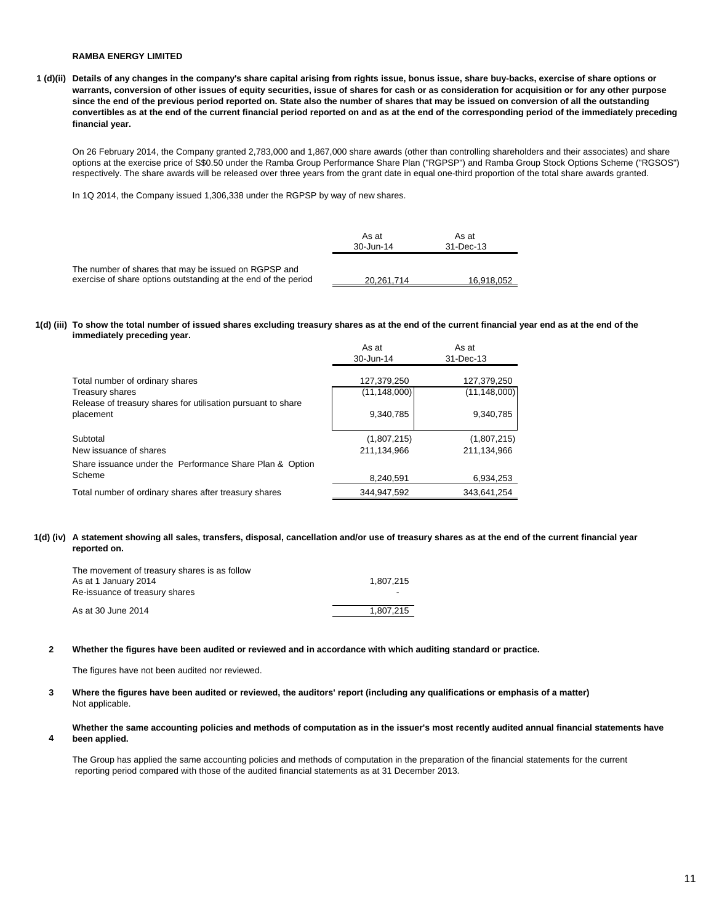**1 (d)(ii) Details of any changes in the company's share capital arising from rights issue, bonus issue, share buy-backs, exercise of share options or warrants, conversion of other issues of equity securities, issue of shares for cash or as consideration for acquisition or for any other purpose since the end of the previous period reported on. State also the number of shares that may be issued on conversion of all the outstanding convertibles as at the end of the current financial period reported on and as at the end of the corresponding period of the immediately preceding financial year.**

On 26 February 2014, the Company granted 2,783,000 and 1,867,000 share awards (other than controlling shareholders and their associates) and share options at the exercise price of S\$0.50 under the Ramba Group Performance Share Plan ("RGPSP") and Ramba Group Stock Options Scheme ("RGSOS") respectively. The share awards will be released over three years from the grant date in equal one-third proportion of the total share awards granted.

In 1Q 2014, the Company issued 1,306,338 under the RGPSP by way of new shares.

|                                                                                                                        | As at<br>30-Jun-14 | As at<br>31-Dec-13 |
|------------------------------------------------------------------------------------------------------------------------|--------------------|--------------------|
| The number of shares that may be issued on RGPSP and<br>exercise of share options outstanding at the end of the period | 20.261.714         | 16.918.052         |

#### **1(d) (iii) To show the total number of issued shares excluding treasury shares as at the end of the current financial year end as at the end of the immediately preceding year.**

|                                                                           | As at<br>30-Jun-14            | As at<br>31-Dec-13            |
|---------------------------------------------------------------------------|-------------------------------|-------------------------------|
| Total number of ordinary shares<br>Treasury shares                        | 127,379,250<br>(11, 148, 000) | 127,379,250<br>(11, 148, 000) |
| Release of treasury shares for utilisation pursuant to share<br>placement | 9,340,785                     | 9,340,785                     |
| Subtotal                                                                  | (1,807,215)                   | (1,807,215)                   |
| New issuance of shares                                                    | 211.134.966                   | 211.134.966                   |
| Share issuance under the Performance Share Plan & Option                  |                               |                               |
| Scheme                                                                    | 8,240,591                     | 6,934,253                     |
| Total number of ordinary shares after treasury shares                     | 344.947.592                   | 343,641,254                   |

#### **1(d) (iv) A statement showing all sales, transfers, disposal, cancellation and/or use of treasury shares as at the end of the current financial year reported on.**

| The movement of treasury shares is as follow |           |
|----------------------------------------------|-----------|
| As at 1 January 2014                         | 1.807.215 |
| Re-issuance of treasury shares               |           |
| As at 30 June 2014                           | 1.807.215 |

#### **2 Whether the figures have been audited or reviewed and in accordance with which auditing standard or practice.**

The figures have not been audited nor reviewed.

**4**

#### **3** Not applicable. **Where the figures have been audited or reviewed, the auditors' report (including any qualifications or emphasis of a matter)**

#### **Whether the same accounting policies and methods of computation as in the issuer's most recently audited annual financial statements have been applied.**

The Group has applied the same accounting policies and methods of computation in the preparation of the financial statements for the current reporting period compared with those of the audited financial statements as at 31 December 2013.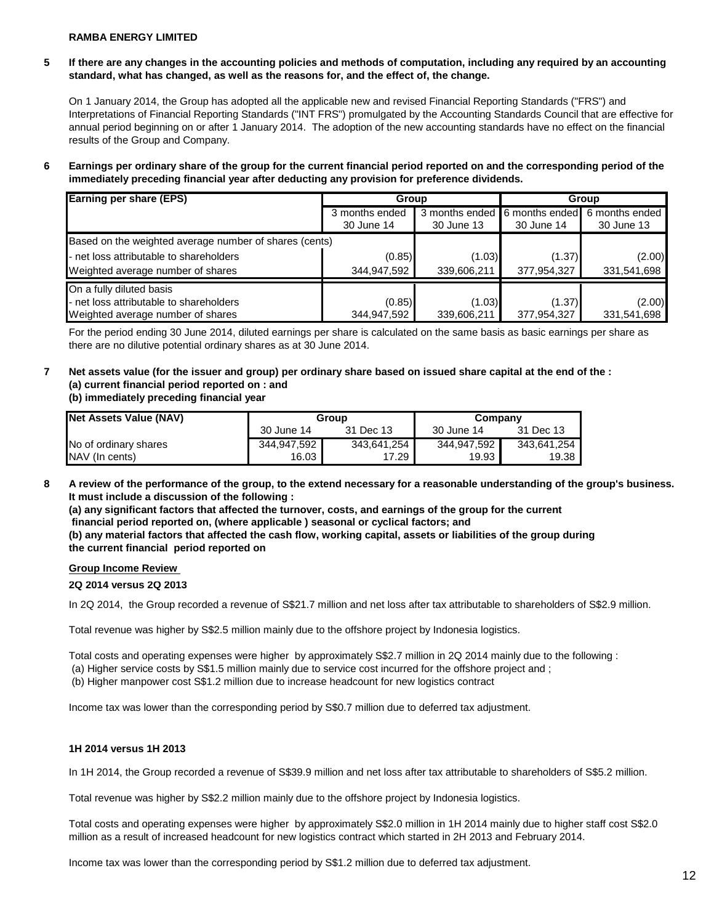### **5 If there are any changes in the accounting policies and methods of computation, including any required by an accounting standard, what has changed, as well as the reasons for, and the effect of, the change.**

On 1 January 2014, the Group has adopted all the applicable new and revised Financial Reporting Standards ("FRS") and Interpretations of Financial Reporting Standards ("INT FRS") promulgated by the Accounting Standards Council that are effective for annual period beginning on or after 1 January 2014. The adoption of the new accounting standards have no effect on the financial results of the Group and Company.

**6 Earnings per ordinary share of the group for the current financial period reported on and the corresponding period of the immediately preceding financial year after deducting any provision for preference dividends.** 

| <b>Earning per share (EPS)</b>                         | Group          |             | Group                         |                |
|--------------------------------------------------------|----------------|-------------|-------------------------------|----------------|
|                                                        | 3 months ended |             | 3 months ended 6 months ended | 6 months ended |
|                                                        | 30 June 14     | 30 June 13  | 30 June 14                    | 30 June 13     |
| Based on the weighted average number of shares (cents) |                |             |                               |                |
| - net loss attributable to shareholders                | (0.85)         | (1.03)      | (1.37)                        | (2.00)         |
| Weighted average number of shares                      | 344,947,592    | 339,606,211 | 377,954,327                   | 331,541,698    |
| On a fully diluted basis                               |                |             |                               |                |
| - net loss attributable to shareholders                | (0.85)         | (1.03)      | (1.37)                        | (2.00)         |
| Weighted average number of shares                      | 344,947,592    | 339,606,211 | 377,954,327                   | 331,541,698    |

For the period ending 30 June 2014, diluted earnings per share is calculated on the same basis as basic earnings per share as there are no dilutive potential ordinary shares as at 30 June 2014.

## **7 Net assets value (for the issuer and group) per ordinary share based on issued share capital at the end of the : (a) current financial period reported on : and**

**(b) immediately preceding financial year** 

| Net Assets Value (NAV) | Group       |             | Company     |             |
|------------------------|-------------|-------------|-------------|-------------|
|                        | 30 June 14  | 31 Dec 13   | 30 June 14  | 31 Dec 13   |
| No of ordinary shares  | 344,947,592 | 343,641,254 | 344,947,592 | 343.641.254 |
| NAV (In cents)         | 16.03       | 17.29       | 19.93       | 19.38       |

**8 A review of the performance of the group, to the extend necessary for a reasonable understanding of the group's business. It must include a discussion of the following :** 

**(a) any significant factors that affected the turnover, costs, and earnings of the group for the current financial period reported on, (where applicable ) seasonal or cyclical factors; and**

**(b) any material factors that affected the cash flow, working capital, assets or liabilities of the group during the current financial period reported on** 

#### **Group Income Review**

#### **2Q 2014 versus 2Q 2013**

In 2Q 2014, the Group recorded a revenue of S\$21.7 million and net loss after tax attributable to shareholders of S\$2.9 million.

Total revenue was higher by S\$2.5 million mainly due to the offshore project by Indonesia logistics.

Total costs and operating expenses were higher by approximately S\$2.7 million in 2Q 2014 mainly due to the following :

(a) Higher service costs by S\$1.5 million mainly due to service cost incurred for the offshore project and ;

(b) Higher manpower cost S\$1.2 million due to increase headcount for new logistics contract

Income tax was lower than the corresponding period by S\$0.7 million due to deferred tax adjustment.

#### **1H 2014 versus 1H 2013**

In 1H 2014, the Group recorded a revenue of S\$39.9 million and net loss after tax attributable to shareholders of S\$5.2 million.

Total revenue was higher by S\$2.2 million mainly due to the offshore project by Indonesia logistics.

Total costs and operating expenses were higher by approximately S\$2.0 million in 1H 2014 mainly due to higher staff cost S\$2.0 million as a result of increased headcount for new logistics contract which started in 2H 2013 and February 2014.

Income tax was lower than the corresponding period by S\$1.2 million due to deferred tax adjustment.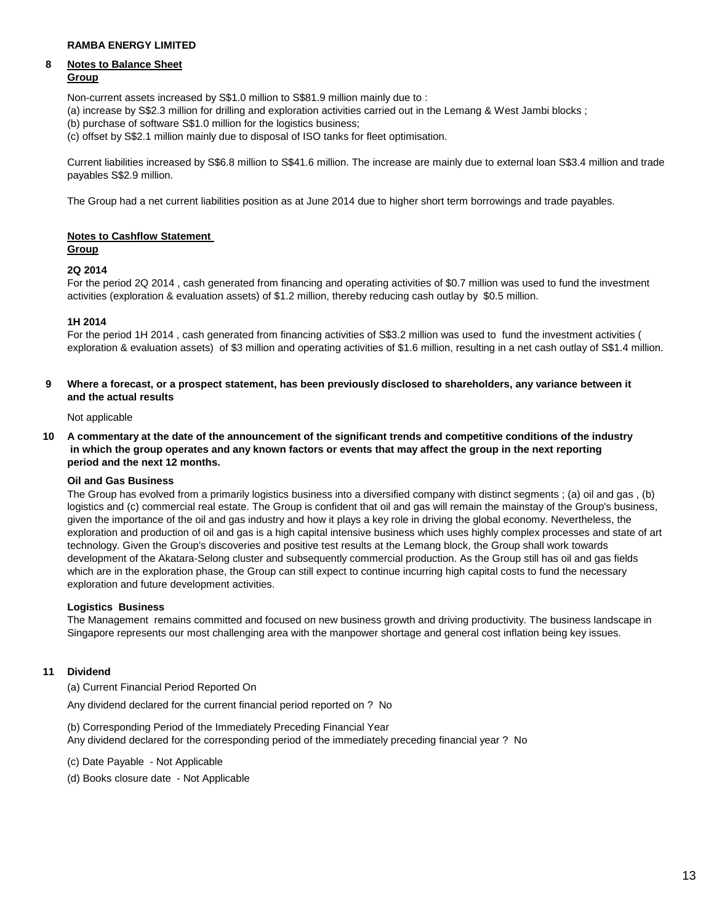#### **8 Notes to Balance Sheet Group**

Non-current assets increased by S\$1.0 million to S\$81.9 million mainly due to :

- (a) increase by S\$2.3 million for drilling and exploration activities carried out in the Lemang & West Jambi blocks ;
- (b) purchase of software S\$1.0 million for the logistics business;
- (c) offset by S\$2.1 million mainly due to disposal of ISO tanks for fleet optimisation.

Current liabilities increased by S\$6.8 million to S\$41.6 million. The increase are mainly due to external loan S\$3.4 million and trade payables S\$2.9 million.

The Group had a net current liabilities position as at June 2014 due to higher short term borrowings and trade payables.

### **Notes to Cashflow Statement**

#### **Group**

#### **2Q 2014**

For the period 2Q 2014 , cash generated from financing and operating activities of \$0.7 million was used to fund the investment activities (exploration & evaluation assets) of \$1.2 million, thereby reducing cash outlay by \$0.5 million.

#### **1H 2014**

For the period 1H 2014 , cash generated from financing activities of S\$3.2 million was used to fund the investment activities ( exploration & evaluation assets) of \$3 million and operating activities of \$1.6 million, resulting in a net cash outlay of S\$1.4 million.

**9 Where a forecast, or a prospect statement, has been previously disclosed to shareholders, any variance between it and the actual results** 

Not applicable

**10 A commentary at the date of the announcement of the significant trends and competitive conditions of the industry in which the group operates and any known factors or events that may affect the group in the next reporting period and the next 12 months.** 

### **Oil and Gas Business**

The Group has evolved from a primarily logistics business into a diversified company with distinct segments ; (a) oil and gas , (b) logistics and (c) commercial real estate. The Group is confident that oil and gas will remain the mainstay of the Group's business, given the importance of the oil and gas industry and how it plays a key role in driving the global economy. Nevertheless, the exploration and production of oil and gas is a high capital intensive business which uses highly complex processes and state of art technology. Given the Group's discoveries and positive test results at the Lemang block, the Group shall work towards development of the Akatara-Selong cluster and subsequently commercial production. As the Group still has oil and gas fields which are in the exploration phase, the Group can still expect to continue incurring high capital costs to fund the necessary exploration and future development activities.

#### **Logistics Business**

The Management remains committed and focused on new business growth and driving productivity. The business landscape in Singapore represents our most challenging area with the manpower shortage and general cost inflation being key issues.

#### **11 Dividend**

(a) Current Financial Period Reported On

Any dividend declared for the current financial period reported on ? No

(b) Corresponding Period of the Immediately Preceding Financial Year Any dividend declared for the corresponding period of the immediately preceding financial year ? No

(c) Date Payable - Not Applicable

(d) Books closure date - Not Applicable